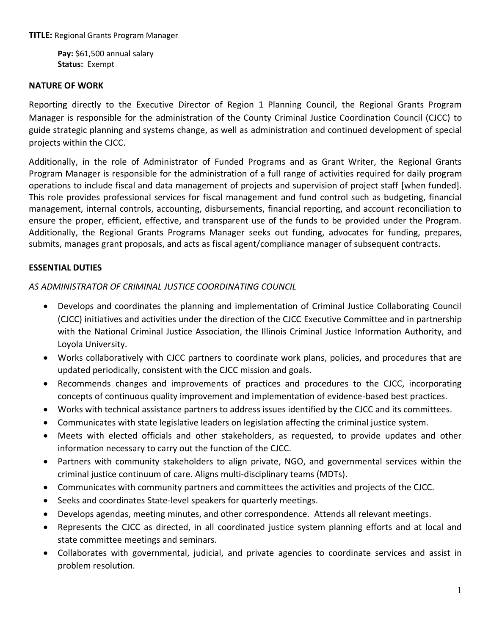**TITLE:** Regional Grants Program Manager

**Pay:** \$61,500 annual salary **Status:** Exempt

#### **NATURE OF WORK**

Reporting directly to the Executive Director of Region 1 Planning Council, the Regional Grants Program Manager is responsible for the administration of the County Criminal Justice Coordination Council (CJCC) to guide strategic planning and systems change, as well as administration and continued development of special projects within the CJCC.

Additionally, in the role of Administrator of Funded Programs and as Grant Writer, the Regional Grants Program Manager is responsible for the administration of a full range of activities required for daily program operations to include fiscal and data management of projects and supervision of project staff [when funded]. This role provides professional services for fiscal management and fund control such as budgeting, financial management, internal controls, accounting, disbursements, financial reporting, and account reconciliation to ensure the proper, efficient, effective, and transparent use of the funds to be provided under the Program. Additionally, the Regional Grants Programs Manager seeks out funding, advocates for funding, prepares, submits, manages grant proposals, and acts as fiscal agent/compliance manager of subsequent contracts.

## **ESSENTIAL DUTIES**

#### *AS ADMINISTRATOR OF CRIMINAL JUSTICE COORDINATING COUNCIL*

- Develops and coordinates the planning and implementation of Criminal Justice Collaborating Council (CJCC) initiatives and activities under the direction of the CJCC Executive Committee and in partnership with the National Criminal Justice Association, the Illinois Criminal Justice Information Authority, and Loyola University.
- Works collaboratively with CJCC partners to coordinate work plans, policies, and procedures that are updated periodically, consistent with the CJCC mission and goals.
- Recommends changes and improvements of practices and procedures to the CJCC, incorporating concepts of continuous quality improvement and implementation of evidence-based best practices.
- Works with technical assistance partners to address issues identified by the CJCC and its committees.
- Communicates with state legislative leaders on legislation affecting the criminal justice system.
- Meets with elected officials and other stakeholders, as requested, to provide updates and other information necessary to carry out the function of the CJCC.
- Partners with community stakeholders to align private, NGO, and governmental services within the criminal justice continuum of care. Aligns multi-disciplinary teams (MDTs).
- Communicates with community partners and committees the activities and projects of the CJCC.
- Seeks and coordinates State-level speakers for quarterly meetings.
- Develops agendas, meeting minutes, and other correspondence. Attends all relevant meetings.
- Represents the CJCC as directed, in all coordinated justice system planning efforts and at local and state committee meetings and seminars.
- Collaborates with governmental, judicial, and private agencies to coordinate services and assist in problem resolution.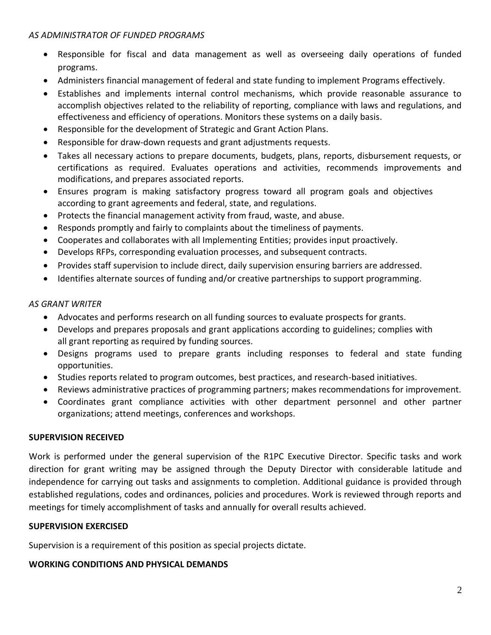#### *AS ADMINISTRATOR OF FUNDED PROGRAMS*

- Responsible for fiscal and data management as well as overseeing daily operations of funded programs.
- Administers financial management of federal and state funding to implement Programs effectively.
- Establishes and implements internal control mechanisms, which provide reasonable assurance to accomplish objectives related to the reliability of reporting, compliance with laws and regulations, and effectiveness and efficiency of operations. Monitors these systems on a daily basis.
- Responsible for the development of Strategic and Grant Action Plans.
- Responsible for draw-down requests and grant adjustments requests.
- Takes all necessary actions to prepare documents, budgets, plans, reports, disbursement requests, or certifications as required. Evaluates operations and activities, recommends improvements and modifications, and prepares associated reports.
- Ensures program is making satisfactory progress toward all program goals and objectives according to grant agreements and federal, state, and regulations.
- Protects the financial management activity from fraud, waste, and abuse.
- Responds promptly and fairly to complaints about the timeliness of payments.
- Cooperates and collaborates with all Implementing Entities; provides input proactively.
- Develops RFPs, corresponding evaluation processes, and subsequent contracts.
- Provides staff supervision to include direct, daily supervision ensuring barriers are addressed.
- Identifies alternate sources of funding and/or creative partnerships to support programming.

## *AS GRANT WRITER*

- Advocates and performs research on all funding sources to evaluate prospects for grants.
- Develops and prepares proposals and grant applications according to guidelines; complies with all grant reporting as required by funding sources.
- Designs programs used to prepare grants including responses to federal and state funding opportunities.
- Studies reports related to program outcomes, best practices, and research-based initiatives.
- Reviews administrative practices of programming partners; makes recommendations for improvement.
- Coordinates grant compliance activities with other department personnel and other partner organizations; attend meetings, conferences and workshops.

## **SUPERVISION RECEIVED**

Work is performed under the general supervision of the R1PC Executive Director. Specific tasks and work direction for grant writing may be assigned through the Deputy Director with considerable latitude and independence for carrying out tasks and assignments to completion. Additional guidance is provided through established regulations, codes and ordinances, policies and procedures. Work is reviewed through reports and meetings for timely accomplishment of tasks and annually for overall results achieved.

## **SUPERVISION EXERCISED**

Supervision is a requirement of this position as special projects dictate.

## **WORKING CONDITIONS AND PHYSICAL DEMANDS**